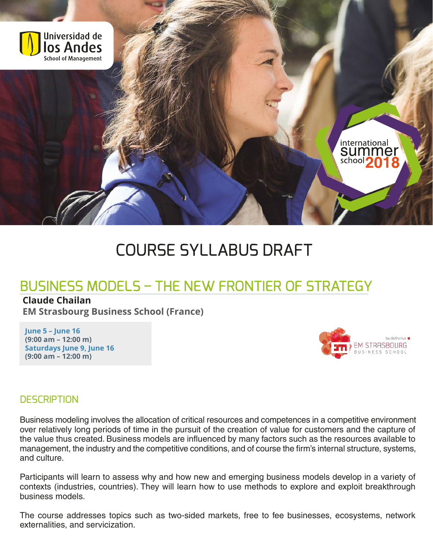

# COURSE SYLLABUS DRAFT

## **BUSINESS MODELS - THE NEW FRONTIER OF STRATEGY**

#### **Claude Chailan**

**EM Strasbourg Business School (France)**

**June 5 – June 16 (9:00 am – 12:00 m) Saturdays June 9, June 16 (9:00 am – 12:00 m)**



#### **DESCRIPTION**

Business modeling involves the allocation of critical resources and competences in a competitive environment over relatively long periods of time in the pursuit of the creation of value for customers and the capture of the value thus created. Business models are influenced by many factors such as the resources available to management, the industry and the competitive conditions, and of course the firm's internal structure, systems, and culture.

Participants will learn to assess why and how new and emerging business models develop in a variety of contexts (industries, countries). They will learn how to use methods to explore and exploit breakthrough business models.

The course addresses topics such as two-sided markets, free to fee businesses, ecosystems, network externalities, and servicization.